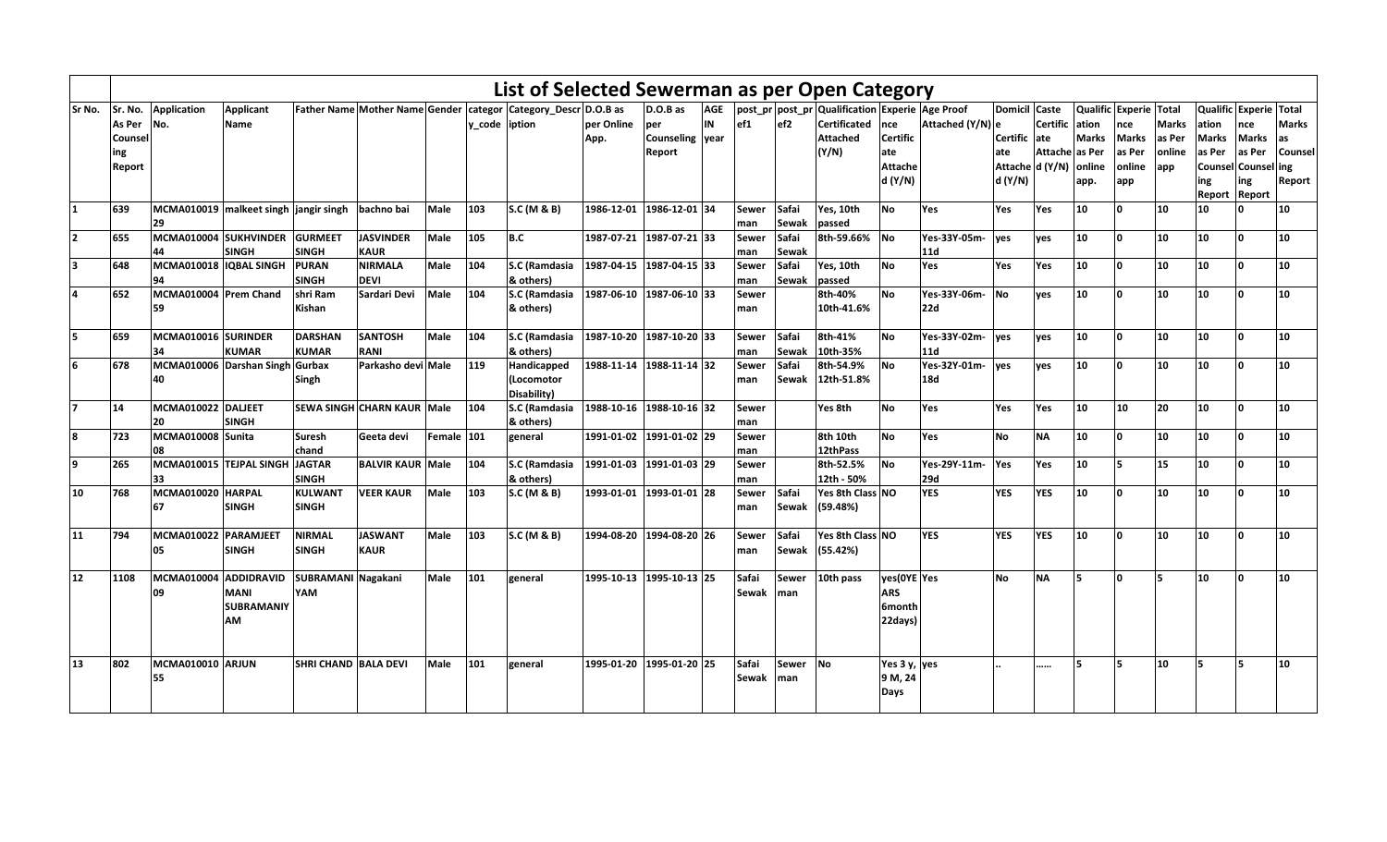|                          |         |                                       |                   |                             |                            |             |                | List of Selected Sewerman as per Open Category                       |                          |                 |            |       |                 |                                                         |                 |                  |               |                 |              |                        |              |        |                        |              |
|--------------------------|---------|---------------------------------------|-------------------|-----------------------------|----------------------------|-------------|----------------|----------------------------------------------------------------------|--------------------------|-----------------|------------|-------|-----------------|---------------------------------------------------------|-----------------|------------------|---------------|-----------------|--------------|------------------------|--------------|--------|------------------------|--------------|
| Sr No.                   | Sr. No. | Application                           | <b>Applicant</b>  |                             |                            |             |                | Father Name Mother Name Gender   categor   Category_Descr   D.O.B as |                          | $D.O.B$ as      | <b>AGE</b> |       |                 | post_pr   post_pr   Qualification   Experie   Age Proof |                 |                  | Domicil Caste |                 |              | Qualific Experie Total |              |        | Qualific Experie Total |              |
|                          | As Per  | No.                                   | <b>Name</b>       |                             |                            |             | v code liption |                                                                      | per Online               | per             | IN         | ef1   | ef <sub>2</sub> | <b>Certificated</b>                                     | Ince            | Attached (Y/N) e |               | Certific lation |              | nce                    | <b>Marks</b> | ation  | nce                    | <b>Marks</b> |
|                          | Counsel |                                       |                   |                             |                            |             |                |                                                                      | App.                     | Counseling year |            |       |                 | <b>Attached</b>                                         | <b>Certific</b> |                  | Certific ate  |                 | <b>Marks</b> | <b>Marks</b>           | as Per       | Marks  | <b>Marks</b>           | as           |
|                          | ing     |                                       |                   |                             |                            |             |                |                                                                      |                          | Report          |            |       |                 | (Y/N)                                                   | ate             |                  | ate           | Attache as Per  |              | as Per                 | online       | as Per | as Per                 | Counsel      |
|                          | Report  |                                       |                   |                             |                            |             |                |                                                                      |                          |                 |            |       |                 |                                                         | <b>Attache</b>  |                  |               | Attache d (Y/N) | lonline      | online                 | app          |        | Counsel Counsel        | ing          |
|                          |         |                                       |                   |                             |                            |             |                |                                                                      |                          |                 |            |       |                 |                                                         | d (Y/N)         |                  | d (Y/N)       |                 | app.         | app                    |              | ing    | ing                    | Report       |
|                          |         |                                       |                   |                             |                            |             |                |                                                                      |                          |                 |            |       |                 |                                                         |                 |                  |               |                 |              |                        |              | Report | Report                 |              |
| 1                        | 639     | MCMA010019 malkeet singh jangir singh |                   |                             | bachno bai                 | Male        | 103            | S.C (M & B)                                                          | 1986-12-01 1986-12-01 34 |                 |            | Sewer | Safai           | Yes, 10th                                               | <b>No</b>       | Yes              | Yes           | Yes             | 10           | <sup>o</sup>           | 10           | 10     |                        | 10           |
|                          |         | 29                                    |                   |                             |                            |             |                |                                                                      |                          |                 |            | man   | Sewak           | passed                                                  |                 |                  |               |                 |              |                        |              |        |                        |              |
| $\overline{\phantom{a}}$ | 655     | MCMA010004 SUKHVINDER                 |                   | <b>GURMEET</b>              | <b>JASVINDER</b>           | <b>Male</b> | 105            | B.C                                                                  | 1987-07-21 1987-07-21 33 |                 |            | Sewer | Safai           | 8th-59.66%                                              | <b>No</b>       | Yes-33Y-05m-     | ves           | ves             | 10           | n.                     | 10           | 10     | <sub>n</sub>           | 10           |
|                          |         | 44                                    | <b>SINGH</b>      | <b>SINGH</b>                | <b>KAUR</b>                |             |                |                                                                      |                          |                 |            | man   | Sewak           |                                                         |                 | 11d              |               |                 |              |                        |              |        |                        |              |
| k.                       | 648     | MCMA010018 IQBAL SINGH                |                   | <b>PURAN</b>                | <b>NIRMALA</b>             | Male        | 104            | S.C (Ramdasia                                                        | 1987-04-15 1987-04-15 33 |                 |            | Sewer | Safai           | Yes, 10th                                               | <b>No</b>       | Yes              | Yes           | Yes             | 10           | ١o                     | 10           | 10     | <b>O</b>               | 10           |
|                          |         | 94                                    |                   | <b>SINGH</b>                | <b>DEVI</b>                |             |                | & others)                                                            |                          |                 |            | man   | <b>Sewak</b>    | passed                                                  |                 |                  |               |                 |              |                        |              |        |                        |              |
|                          | 652     | MCMA010004 Prem Chand                 |                   | shri Ram                    | Sardari Devi               | <b>Male</b> | 104            | S.C (Ramdasia                                                        | 1987-06-10 1987-06-10 33 |                 |            | Sewer |                 | 8th-40%                                                 | <b>No</b>       | Yes-33Y-06m-     | <b>No</b>     | ves             | 10           | ١o                     | 10           | 10     | U                      | 10           |
|                          |         | 59                                    |                   | Kishan                      |                            |             |                | & others)                                                            |                          |                 |            | man   |                 | 10th-41.6%                                              |                 | 22d              |               |                 |              |                        |              |        |                        |              |
|                          |         |                                       |                   |                             |                            |             |                |                                                                      |                          |                 |            |       |                 |                                                         |                 |                  |               |                 |              |                        |              |        |                        |              |
| 5                        | 659     | MCMA010016 SURINDER                   |                   | <b>DARSHAN</b>              | <b>SANTOSH</b>             | Male        | 104            | S.C (Ramdasia                                                        | 1987-10-20 1987-10-20 33 |                 |            | Sewer | Safai           | 8th-41%                                                 | <b>No</b>       | Yes-33Y-02m-     | ves           | ves             | 10           | ١o                     | 10           | 10     | <sup>o</sup>           | 10           |
|                          |         | 34                                    | <b>KUMAR</b>      | <b>KUMAR</b>                | RANI                       |             |                | & others)                                                            |                          |                 |            | man   | Sewak           | 10th-35%                                                |                 | 11d              |               |                 |              |                        |              |        |                        |              |
| 6                        | 678     | MCMA010006 Darshan Singh              |                   | <b>Gurbax</b>               | Parkasho devi Male         |             | 119            | Handicapped                                                          | 1988-11-14 1988-11-14 32 |                 |            | Sewer | Safai           | 8th-54.9%                                               | <b>No</b>       | Yes-32Y-01m-     | ves           | yes             | 10           | ١o                     | 10           | 10     | <sup>n</sup>           | 10           |
|                          |         | 40                                    |                   | Singh                       |                            |             |                | Locomotor)                                                           |                          |                 |            | man   | Sewak           | 12th-51.8%                                              |                 | <b>18d</b>       |               |                 |              |                        |              |        |                        |              |
|                          |         |                                       |                   |                             |                            |             |                | Disability)                                                          |                          |                 |            |       |                 |                                                         |                 |                  |               |                 |              |                        |              |        |                        |              |
| 17                       | 14      | MCMA010022 DALJEET                    |                   |                             | SEWA SINGH CHARN KAUR Male |             | 104            | S.C (Ramdasia                                                        | 1988-10-16 1988-10-16 32 |                 |            | Sewer |                 | Yes 8th                                                 | <b>No</b>       | Yes              | <b>Yes</b>    | Yes             | 110          | 10                     | 20           | 10     | <b>O</b>               | 10           |
|                          |         | 20                                    | <b>SINGH</b>      |                             |                            |             |                | & others)                                                            |                          |                 |            | man   |                 |                                                         |                 |                  |               |                 |              |                        |              |        |                        |              |
| 8                        | 723     | MCMA010008 Sunita                     |                   | <b>Suresh</b>               | Geeta devi                 | Female 101  |                | general                                                              | 1991-01-02 1991-01-02 29 |                 |            | Sewer |                 | 8th 10th                                                | <b>No</b>       | Yes              | <b>No</b>     | <b>NA</b>       | 10           | ١o                     | 10           | 10     | <b>O</b>               | 10           |
|                          |         | 08                                    |                   | chand                       |                            |             |                |                                                                      |                          |                 |            | man   |                 | 12thPass                                                |                 |                  |               |                 |              |                        |              |        |                        |              |
| 9                        | 265     | MCMA010015 TEJPAL SINGH               |                   | <b>JAGTAR</b>               | <b>BALVIR KAUR Male</b>    |             | 104            | S.C (Ramdasia                                                        | 1991-01-03 1991-01-03 29 |                 |            | Sewer |                 | 8th-52.5%                                               | <b>No</b>       | Yes-29Y-11m-     | Yes           | Yes             | 10           | 5                      | 15           | 10     | <b>O</b>               | 10           |
|                          |         | 33                                    |                   | <b>SINGH</b>                |                            |             |                | & others)                                                            |                          |                 |            | man   |                 | 12th - 50%                                              |                 | <b>29d</b>       |               |                 |              |                        |              |        |                        |              |
| 10                       | 768     | MCMA010020 HARPAL                     |                   | <b>KULWANT</b>              | <b>VEER KAUR</b>           | Male        | 103            | SC(M & B)                                                            | 1993-01-01 1993-01-01 28 |                 |            | Sewer | Safai           | Yes 8th Class NO                                        |                 | <b>YES</b>       | <b>YES</b>    | <b>YES</b>      | 10           | ١o                     | 10           | 10     | <b>O</b>               | 10           |
|                          |         | 67                                    | <b>SINGH</b>      | <b>SINGH</b>                |                            |             |                |                                                                      |                          |                 |            | man   | Sewak           | (59.48%)                                                |                 |                  |               |                 |              |                        |              |        |                        |              |
|                          |         |                                       |                   |                             |                            |             |                |                                                                      |                          |                 |            |       |                 |                                                         |                 |                  |               |                 |              |                        |              |        |                        |              |
| 11                       | 794     | MCMA010022                            | PARAMJEET         | <b>NIRMAL</b>               | <b>JASWANT</b>             | Male        | 103            | S.C (M & B)                                                          | 1994-08-20 1994-08-20 26 |                 |            | Sewer | Safai           | Yes 8th Class NO                                        |                 | <b>YES</b>       | <b>YES</b>    | <b>YES</b>      | 10           | I۵                     | 10           | 10     | n.                     | 10           |
|                          |         | 05                                    | <b>SINGH</b>      | <b>SINGH</b>                | <b>KAUR</b>                |             |                |                                                                      |                          |                 |            | man   | Sewak           | (55.42%)                                                |                 |                  |               |                 |              |                        |              |        |                        |              |
|                          |         |                                       |                   |                             |                            |             |                |                                                                      |                          |                 |            |       |                 |                                                         |                 |                  |               |                 |              |                        |              |        |                        |              |
| 12                       | 1108    | MCMA010004                            | <b>ADDIDRAVID</b> | SUBRAMANI Nagakani          |                            | Male        | 101            | general                                                              | 1995-10-13 1995-10-13 25 |                 |            | Safai | Sewer           | 10th pass                                               | yes(OYE Yes     |                  | <b>No</b>     | <b>NA</b>       | l5           | ١o                     | lҕ           | 10     | <b>O</b>               | 10           |
|                          |         | 09                                    | <b>MANI</b>       | YAM                         |                            |             |                |                                                                      |                          |                 |            | Sewak | <b>Iman</b>     |                                                         | <b>ARS</b>      |                  |               |                 |              |                        |              |        |                        |              |
|                          |         |                                       | <b>SUBRAMANIY</b> |                             |                            |             |                |                                                                      |                          |                 |            |       |                 |                                                         | 6month          |                  |               |                 |              |                        |              |        |                        |              |
|                          |         |                                       | АM                |                             |                            |             |                |                                                                      |                          |                 |            |       |                 |                                                         | 22days)         |                  |               |                 |              |                        |              |        |                        |              |
|                          |         |                                       |                   |                             |                            |             |                |                                                                      |                          |                 |            |       |                 |                                                         |                 |                  |               |                 |              |                        |              |        |                        |              |
|                          |         |                                       |                   |                             |                            |             |                |                                                                      |                          |                 |            |       |                 |                                                         |                 |                  |               |                 |              |                        |              |        |                        |              |
| 13                       | 802     | MCMA010010 ARJUN                      |                   | <b>SHRI CHAND BALA DEVI</b> |                            | <b>Male</b> | 101            | general                                                              | 1995-01-20 1995-01-20 25 |                 |            | Safai | Sewer           | <b>No</b>                                               | Yes 3 y, yes    |                  |               |                 | 15           | 5                      | 10           | I5     | 5                      | 10           |
|                          |         | 55                                    |                   |                             |                            |             |                |                                                                      |                          |                 |            | Sewak | <b>Iman</b>     |                                                         | 9 M, 24         |                  |               |                 |              |                        |              |        |                        |              |
|                          |         |                                       |                   |                             |                            |             |                |                                                                      |                          |                 |            |       |                 |                                                         | Days            |                  |               |                 |              |                        |              |        |                        |              |
|                          |         |                                       |                   |                             |                            |             |                |                                                                      |                          |                 |            |       |                 |                                                         |                 |                  |               |                 |              |                        |              |        |                        |              |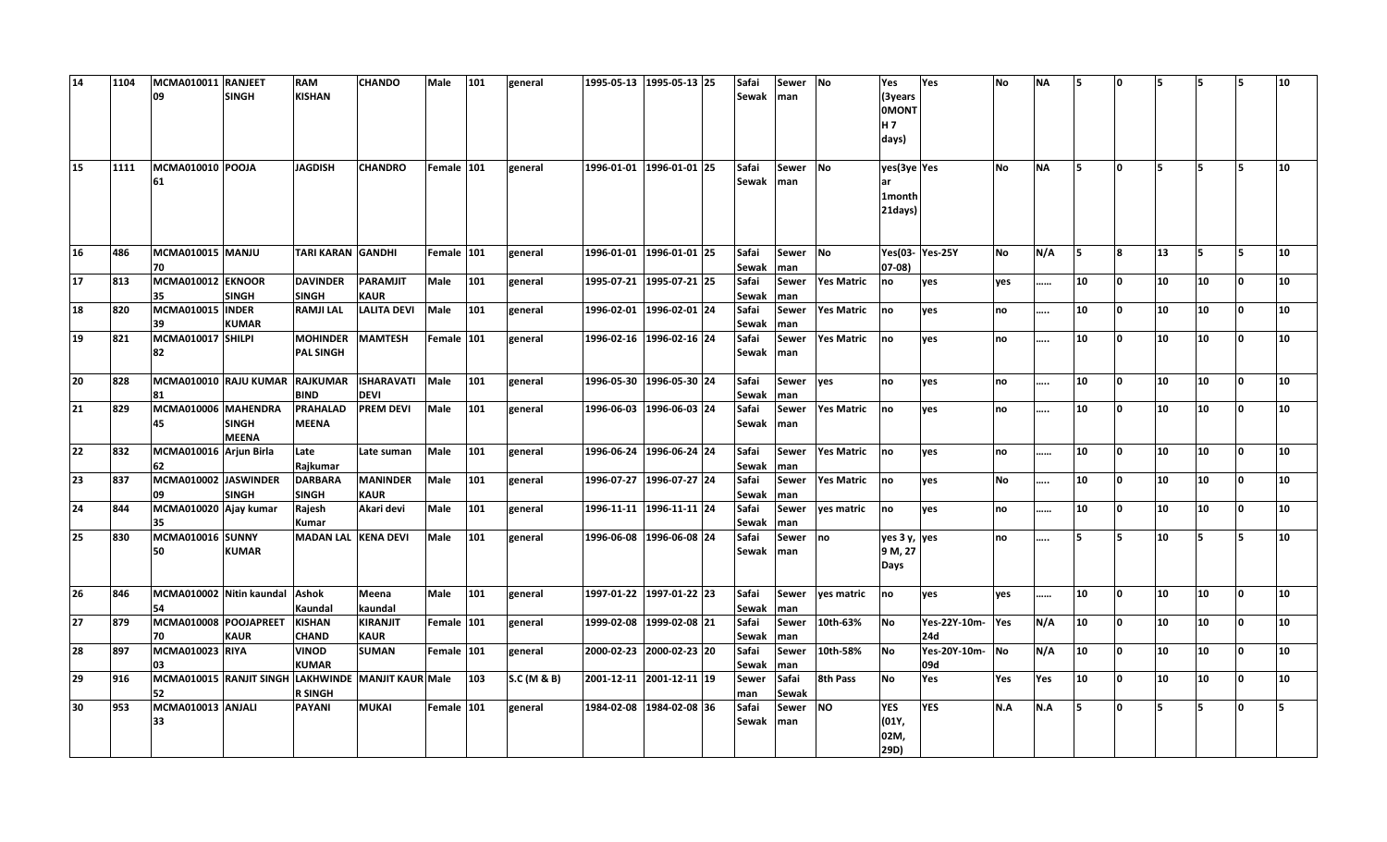| 14 | 1104 | MCMA010011<br>09               | <b>RANJEET</b><br><b>SINGH</b> | <b>RAM</b><br><b>KISHAN</b>         | <b>CHANDO</b>                                      | Male       | 101 | general     | 1995-05-13 1995-05-13 25 |  | Safai<br><b>Sewak</b> | Sewer<br>Iman       | <b>No</b>         | Yes<br>(3years<br><b>OMONT</b><br>H <sub>7</sub><br>days) | Yes                    | <b>No</b>  | <b>NA</b>   | I5. | ١o       | 5  | l5 |          | 10 |
|----|------|--------------------------------|--------------------------------|-------------------------------------|----------------------------------------------------|------------|-----|-------------|--------------------------|--|-----------------------|---------------------|-------------------|-----------------------------------------------------------|------------------------|------------|-------------|-----|----------|----|----|----------|----|
| 15 | 1111 | MCMA010010 POOJA<br>61         |                                | <b>JAGDISH</b>                      | <b>CHANDRO</b>                                     | Female 101 |     | general     | 1996-01-01 1996-01-01 25 |  | Safai<br>Sewak        | Sewer<br>Iman       | <b>No</b>         | yes(3ye Yes<br>lar<br>1month<br>21days)                   |                        | <b>No</b>  | <b>NA</b>   | I5  | ١o       | 5  | l5 | IS.      | 10 |
| 16 | 486  | MCMA010015 MANJU<br>70         |                                | <b>TARI KARAN GANDHI</b>            |                                                    | Female 101 |     | general     | 1996-01-01 1996-01-01 25 |  | Safai<br>Sewak        | Sewer<br>man        | <b>No</b>         | $07 - 08$                                                 | Yes(03-Yes-25Y         | <b>No</b>  | N/A         | I5. | 8        | 13 |    | IS.      | 10 |
| 17 | 813  | MCMA010012 EKNOOR<br>35        | <b>SINGH</b>                   | <b>DAVINDER</b><br><b>SINGH</b>     | PARAMJIT<br><b>KAUR</b>                            | Male       | 101 | general     | 1995-07-21 1995-07-21 25 |  | Safai<br>Sewak        | <b>Sewer</b><br>man | <b>Yes Matric</b> | no                                                        | yes                    | yes        |             | 10  | <b>0</b> | 10 | 10 | l0.      | 10 |
| 18 | 820  | MCMA010015 INDER<br>39         | <b>KUMAR</b>                   | <b>RAMJI LAL</b>                    | <b>LALITA DEVI</b>                                 | Male       | 101 | general     | 1996-02-01 1996-02-01 24 |  | Safai<br>Sewak        | <b>Sewer</b><br>man | <b>Yes Matric</b> | no                                                        | yes                    | no         |             | 10  | ١o       | 10 | 10 | ١o       | 10 |
| 19 | 821  | MCMA010017 SHILPI<br>82        |                                | <b>MOHINDER</b><br><b>PAL SINGH</b> | <b>MAMTESH</b>                                     | Female 101 |     | general     | 1996-02-16 1996-02-16 24 |  | Safai<br>Sewak        | Sewer<br>man        | <b>Yes Matric</b> | no                                                        | yes                    | <b>no</b>  |             | 10  | ١o       | 10 | 10 | ١o       | 10 |
| 20 | 828  | MCMA010010 RAJU KUMAR<br>81    |                                | <b>RAJKUMAR</b><br><b>BIND</b>      | <b>ISHARAVATI</b><br><b>DEVI</b>                   | Male       | 101 | general     | 1996-05-30 1996-05-30 24 |  | Safai<br>Sewak        | Sewer<br>man        | yes               | no                                                        | yes                    | no         | $\cdots$    | 10  | ١o       | 10 | 10 | n.       | 10 |
| 21 | 829  | MCMA010006 MAHENDRA<br>45      | <b>SINGH</b><br><b>MEENA</b>   | <b>PRAHALAD</b><br><b>MEENA</b>     | <b>PREM DEVI</b>                                   | Male       | 101 | general     | 1996-06-03 1996-06-03 24 |  | Safai<br>Sewak        | Sewer<br>man        | <b>Yes Matric</b> | no                                                        | ves                    | no         |             | 10  | ١o       | 10 | 10 | <b>O</b> | 10 |
| 22 | 832  | MCMA010016 Arjun Birla<br>62   |                                | Late<br>Rajkumar                    | Late suman                                         | Male       | 101 | general     | 1996-06-24 1996-06-24 24 |  | Safai<br>Sewak        | <b>Sewer</b><br>man | <b>Yes Matric</b> | no                                                        | yes                    | <b>Ino</b> |             | 10  | I٥       | 10 | 10 | ١o       | 10 |
| 23 | 837  | MCMA010002 JASWINDER<br>09     | <b>SINGH</b>                   | <b>DARBARA</b><br><b>SINGH</b>      | <b>MANINDER</b><br><b>KAUR</b>                     | Male       | 101 | general     | 1996-07-27 1996-07-27 24 |  | Safai<br>Sewak        | Sewer<br>man        | <b>Yes Matric</b> | no                                                        | ves                    | <b>No</b>  |             | 10  | ١o       | 10 | 10 | 0        | 10 |
| 24 | 844  | MCMA010020 Ajay kumar<br>35    |                                | Rajesh<br>Kumar                     | Akari devi                                         | Male       | 101 | general     | 1996-11-11 1996-11-11 24 |  | Safai<br>Sewak        | <b>Sewer</b><br>man | yes matric        | no                                                        | yes                    | no         |             | 10  | l O      | 10 | 10 | l0.      | 10 |
| 25 | 830  | MCMA010016 SUNNY<br>50         | <b>KUMAR</b>                   | MADAN LAL KENA DEVI                 |                                                    | Male       | 101 | general     | 1996-06-08 1996-06-08 24 |  | Safai<br>Sewak        | Sewer<br>man        | no                | yes 3 y, yes<br>9 M, 27<br>Days                           |                        | <b>no</b>  |             | 15  | İ5.      | 10 | l5 | Б,       | 10 |
| 26 | 846  | MCMA010002 Nitin kaundal<br>54 |                                | <b>Ashok</b><br>Kaundal             | Meena<br>kaundal                                   | Male       | 101 | general     | 1997-01-22 1997-01-22 23 |  | Safai<br>Sewak        | <b>Sewer</b><br>man | yes matric        | no                                                        | ves                    | ves        |             | 10  | I٥       | 10 | 10 | lo.      | 10 |
| 27 | 879  | MCMA010008 POOJAPREET<br>70    | <b>KAUR</b>                    | <b>KISHAN</b><br><b>CHAND</b>       | <b>KIRANJIT</b><br><b>KAUR</b>                     | Female 101 |     | general     | 1999-02-08 1999-02-08 21 |  | Safai<br>Sewak        | <b>Sewer</b><br>man | 10th-63%          | <b>No</b>                                                 | Yes-22Y-10m-Yes<br>24d |            | N/A         | 10  | 0        | 10 | 10 | 0        | 10 |
| 28 | 897  | MCMA010023 RIYA<br>03          |                                | <b>VINOD</b><br><b>KUMAR</b>        | <b>SUMAN</b>                                       | Female 101 |     | general     | 2000-02-23 2000-02-23 20 |  | Safai<br>Sewak        | <b>Sewer</b><br>man | 10th-58%          | <b>No</b>                                                 | Yes-20Y-10m-<br>09d    | No         | $N/\Lambda$ | 10  | ١o       | 10 | 10 | ١n       | 10 |
| 29 | 916  | 52                             |                                | <b>R SINGH</b>                      | MCMA010015 RANJIT SINGH LAKHWINDE MANJIT KAUR Male |            | 103 | S.C (M & B) | 2001-12-11 2001-12-11 19 |  | Sewer<br>man          | Safai<br>Sewak      | 8th Pass          | <b>No</b>                                                 | Yes                    | Yes        | Yes         | 10  | ١o       | 10 | 10 | 'n       | 10 |
| 30 | 953  | MCMA010013 ANJALI<br>33        |                                | <b>PAYANI</b>                       | <b>MUKAI</b>                                       | Female 101 |     | general     | 1984-02-08 1984-02-08 36 |  | Safai<br>Sewak        | Sewer<br>man        | <b>NO</b>         | <b>YES</b><br>(01Y,<br>02M,<br>29D)                       | <b>YES</b>             | N.A        | N.A         | 5   | ١o       | l5 |    | n        | 5  |